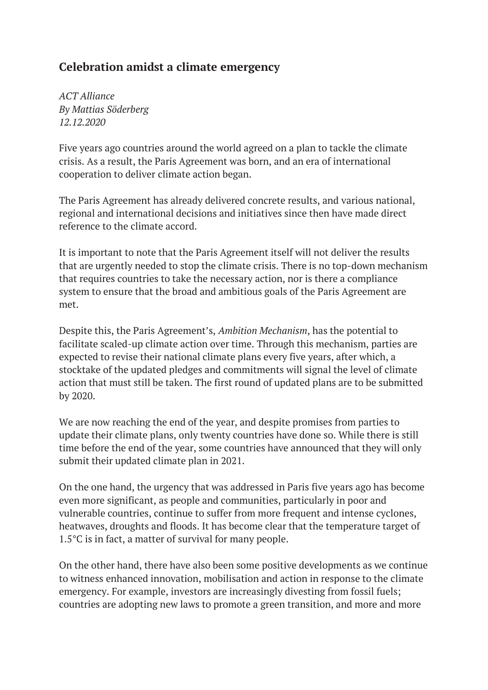## **Celebration amidst a climate emergency**

*ACT Alliance By Mattias Söderberg 12.12.2020*

Five years ago countries around the world agreed on a plan to tackle the climate crisis. As a result, the Paris Agreement was born, and an era of international cooperation to deliver climate action began.

The Paris Agreement has already delivered concrete results, and various national, regional and international decisions and initiatives since then have made direct reference to the climate accord.

It is important to note that the Paris Agreement itself will not deliver the results that are urgently needed to stop the climate crisis. There is no top-down mechanism that requires countries to take the necessary action, nor is there a compliance system to ensure that the broad and ambitious goals of the Paris Agreement are met.

Despite this, the Paris Agreement's, *Ambition Mechanism*, has the potential to facilitate scaled-up climate action over time. Through this mechanism, parties are expected to revise their national climate plans every five years, after which, a stocktake of the updated pledges and commitments will signal the level of climate action that must still be taken. The first round of updated plans are to be submitted by 2020.

We are now reaching the end of the year, and despite promises from parties to update their climate plans, only twenty countries have done so. While there is still time before the end of the year, some countries have announced that they will only submit their updated climate plan in 2021.

On the one hand, the urgency that was addressed in Paris five years ago has become even more significant, as people and communities, particularly in poor and vulnerable countries, continue to suffer from more frequent and intense cyclones, heatwaves, droughts and floods. It has become clear that the temperature target of 1.5°C is in fact, a matter of survival for many people.

On the other hand, there have also been some positive developments as we continue to witness enhanced innovation, mobilisation and action in response to the climate emergency. For example, investors are increasingly divesting from fossil fuels; countries are adopting new laws to promote a green transition, and more and more